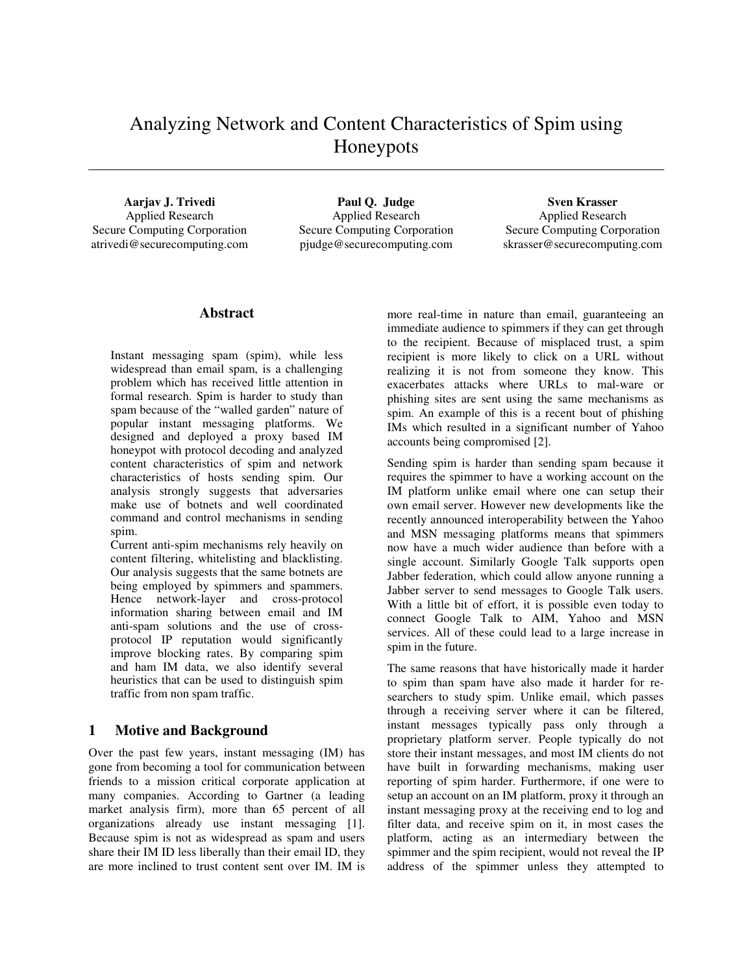# Analyzing Network and Content Characteristics of Spim using Honeypots

**Aarjav J. Trivedi** Applied Research Secure Computing Corporation atrivedi@securecomputing.com

**Paul Q. Judge**  Applied Research Secure Computing Corporation pjudge@securecomputing.com

**Sven Krasser**  Applied Research Secure Computing Corporation skrasser@securecomputing.com

## **Abstract**

Instant messaging spam (spim), while less widespread than email spam, is a challenging problem which has received little attention in formal research. Spim is harder to study than spam because of the "walled garden" nature of popular instant messaging platforms. We designed and deployed a proxy based IM honeypot with protocol decoding and analyzed content characteristics of spim and network characteristics of hosts sending spim. Our analysis strongly suggests that adversaries make use of botnets and well coordinated command and control mechanisms in sending spim.

Current anti-spim mechanisms rely heavily on content filtering, whitelisting and blacklisting. Our analysis suggests that the same botnets are being employed by spimmers and spammers. Hence network-layer and cross-protocol information sharing between email and IM anti-spam solutions and the use of crossprotocol IP reputation would significantly improve blocking rates. By comparing spim and ham IM data, we also identify several heuristics that can be used to distinguish spim traffic from non spam traffic.

# **1 Motive and Background**

Over the past few years, instant messaging (IM) has gone from becoming a tool for communication between friends to a mission critical corporate application at many companies. According to Gartner (a leading market analysis firm), more than 65 percent of all organizations already use instant messaging [1]. Because spim is not as widespread as spam and users share their IM ID less liberally than their email ID, they are more inclined to trust content sent over IM. IM is

more real-time in nature than email, guaranteeing an immediate audience to spimmers if they can get through to the recipient. Because of misplaced trust, a spim recipient is more likely to click on a URL without realizing it is not from someone they know. This exacerbates attacks where URLs to mal-ware or phishing sites are sent using the same mechanisms as spim. An example of this is a recent bout of phishing IMs which resulted in a significant number of Yahoo accounts being compromised [2].

Sending spim is harder than sending spam because it requires the spimmer to have a working account on the IM platform unlike email where one can setup their own email server. However new developments like the recently announced interoperability between the Yahoo and MSN messaging platforms means that spimmers now have a much wider audience than before with a single account. Similarly Google Talk supports open Jabber federation, which could allow anyone running a Jabber server to send messages to Google Talk users. With a little bit of effort, it is possible even today to connect Google Talk to AIM, Yahoo and MSN services. All of these could lead to a large increase in spim in the future.

The same reasons that have historically made it harder to spim than spam have also made it harder for researchers to study spim. Unlike email, which passes through a receiving server where it can be filtered, instant messages typically pass only through a proprietary platform server. People typically do not store their instant messages, and most IM clients do not have built in forwarding mechanisms, making user reporting of spim harder. Furthermore, if one were to setup an account on an IM platform, proxy it through an instant messaging proxy at the receiving end to log and filter data, and receive spim on it, in most cases the platform, acting as an intermediary between the spimmer and the spim recipient, would not reveal the IP address of the spimmer unless they attempted to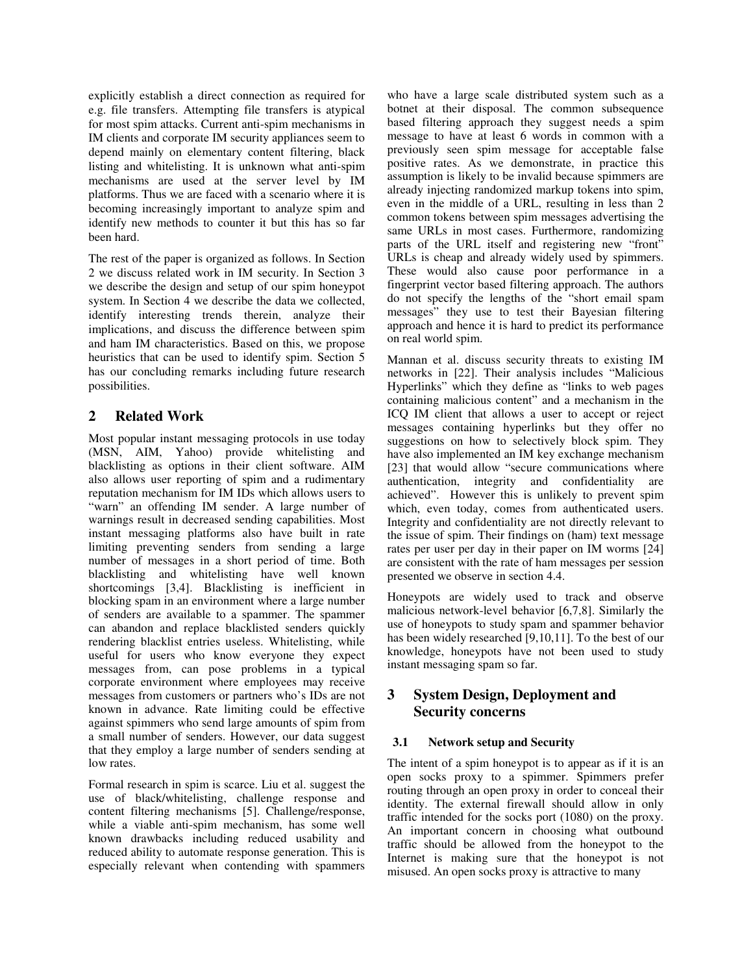explicitly establish a direct connection as required for e.g. file transfers. Attempting file transfers is atypical for most spim attacks. Current anti-spim mechanisms in IM clients and corporate IM security appliances seem to depend mainly on elementary content filtering, black listing and whitelisting. It is unknown what anti-spim mechanisms are used at the server level by IM platforms. Thus we are faced with a scenario where it is becoming increasingly important to analyze spim and identify new methods to counter it but this has so far been hard.

The rest of the paper is organized as follows. In Section 2 we discuss related work in IM security. In Section 3 we describe the design and setup of our spim honeypot system. In Section 4 we describe the data we collected, identify interesting trends therein, analyze their implications, and discuss the difference between spim and ham IM characteristics. Based on this, we propose heuristics that can be used to identify spim. Section 5 has our concluding remarks including future research possibilities.

# **2 Related Work**

Most popular instant messaging protocols in use today (MSN, AIM, Yahoo) provide whitelisting and blacklisting as options in their client software. AIM also allows user reporting of spim and a rudimentary reputation mechanism for IM IDs which allows users to "warn" an offending IM sender. A large number of warnings result in decreased sending capabilities. Most instant messaging platforms also have built in rate limiting preventing senders from sending a large number of messages in a short period of time. Both blacklisting and whitelisting have well known shortcomings [3,4]. Blacklisting is inefficient in blocking spam in an environment where a large number of senders are available to a spammer. The spammer can abandon and replace blacklisted senders quickly rendering blacklist entries useless. Whitelisting, while useful for users who know everyone they expect messages from, can pose problems in a typical corporate environment where employees may receive messages from customers or partners who's IDs are not known in advance. Rate limiting could be effective against spimmers who send large amounts of spim from a small number of senders. However, our data suggest that they employ a large number of senders sending at low rates.

Formal research in spim is scarce. Liu et al. suggest the use of black/whitelisting, challenge response and content filtering mechanisms [5]. Challenge/response, while a viable anti-spim mechanism, has some well known drawbacks including reduced usability and reduced ability to automate response generation. This is especially relevant when contending with spammers

who have a large scale distributed system such as a botnet at their disposal. The common subsequence based filtering approach they suggest needs a spim message to have at least 6 words in common with a previously seen spim message for acceptable false positive rates. As we demonstrate, in practice this assumption is likely to be invalid because spimmers are already injecting randomized markup tokens into spim, even in the middle of a URL, resulting in less than 2 common tokens between spim messages advertising the same URLs in most cases. Furthermore, randomizing parts of the URL itself and registering new "front" URLs is cheap and already widely used by spimmers. These would also cause poor performance in a fingerprint vector based filtering approach. The authors do not specify the lengths of the "short email spam messages" they use to test their Bayesian filtering approach and hence it is hard to predict its performance on real world spim.

Mannan et al. discuss security threats to existing IM networks in [22]. Their analysis includes "Malicious Hyperlinks" which they define as "links to web pages containing malicious content" and a mechanism in the ICQ IM client that allows a user to accept or reject messages containing hyperlinks but they offer no suggestions on how to selectively block spim. They have also implemented an IM key exchange mechanism [23] that would allow "secure communications where authentication, integrity and confidentiality are achieved". However this is unlikely to prevent spim which, even today, comes from authenticated users. Integrity and confidentiality are not directly relevant to the issue of spim. Their findings on (ham) text message rates per user per day in their paper on IM worms [24] are consistent with the rate of ham messages per session presented we observe in section 4.4.

Honeypots are widely used to track and observe malicious network-level behavior [6,7,8]. Similarly the use of honeypots to study spam and spammer behavior has been widely researched [9,10,11]. To the best of our knowledge, honeypots have not been used to study instant messaging spam so far.

# **3 System Design, Deployment and Security concerns**

### **3.1 Network setup and Security**

The intent of a spim honeypot is to appear as if it is an open socks proxy to a spimmer. Spimmers prefer routing through an open proxy in order to conceal their identity. The external firewall should allow in only traffic intended for the socks port (1080) on the proxy. An important concern in choosing what outbound traffic should be allowed from the honeypot to the Internet is making sure that the honeypot is not misused. An open socks proxy is attractive to many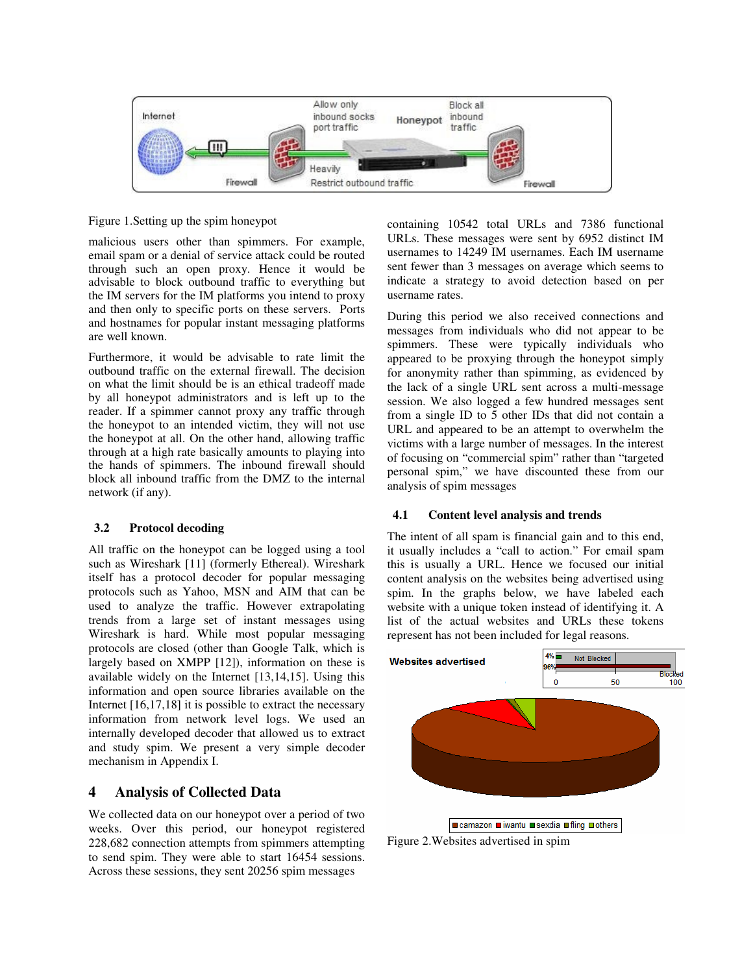

Figure 1.Setting up the spim honeypot

malicious users other than spimmers. For example, email spam or a denial of service attack could be routed through such an open proxy. Hence it would be advisable to block outbound traffic to everything but the IM servers for the IM platforms you intend to proxy and then only to specific ports on these servers. Ports and hostnames for popular instant messaging platforms are well known.

Furthermore, it would be advisable to rate limit the outbound traffic on the external firewall. The decision on what the limit should be is an ethical tradeoff made by all honeypot administrators and is left up to the reader. If a spimmer cannot proxy any traffic through the honeypot to an intended victim, they will not use the honeypot at all. On the other hand, allowing traffic through at a high rate basically amounts to playing into the hands of spimmers. The inbound firewall should block all inbound traffic from the DMZ to the internal network (if any).

### **3.2 Protocol decoding**

All traffic on the honeypot can be logged using a tool such as Wireshark [11] (formerly Ethereal). Wireshark itself has a protocol decoder for popular messaging protocols such as Yahoo, MSN and AIM that can be used to analyze the traffic. However extrapolating trends from a large set of instant messages using Wireshark is hard. While most popular messaging protocols are closed (other than Google Talk, which is largely based on XMPP [12]), information on these is available widely on the Internet [13,14,15]. Using this information and open source libraries available on the Internet [16,17,18] it is possible to extract the necessary information from network level logs. We used an internally developed decoder that allowed us to extract and study spim. We present a very simple decoder mechanism in Appendix I.

# **4 Analysis of Collected Data**

We collected data on our honeypot over a period of two weeks. Over this period, our honeypot registered 228,682 connection attempts from spimmers attempting to send spim. They were able to start 16454 sessions. Across these sessions, they sent 20256 spim messages

containing 10542 total URLs and 7386 functional URLs. These messages were sent by 6952 distinct IM usernames to 14249 IM usernames. Each IM username sent fewer than 3 messages on average which seems to indicate a strategy to avoid detection based on per username rates.

During this period we also received connections and messages from individuals who did not appear to be spimmers. These were typically individuals who appeared to be proxying through the honeypot simply for anonymity rather than spimming, as evidenced by the lack of a single URL sent across a multi-message session. We also logged a few hundred messages sent from a single ID to 5 other IDs that did not contain a URL and appeared to be an attempt to overwhelm the victims with a large number of messages. In the interest of focusing on "commercial spim" rather than "targeted personal spim," we have discounted these from our analysis of spim messages

### **4.1 Content level analysis and trends**

The intent of all spam is financial gain and to this end, it usually includes a "call to action." For email spam this is usually a URL. Hence we focused our initial content analysis on the websites being advertised using spim. In the graphs below, we have labeled each website with a unique token instead of identifying it. A list of the actual websites and URLs these tokens represent has not been included for legal reasons.



Figure 2.Websites advertised in spim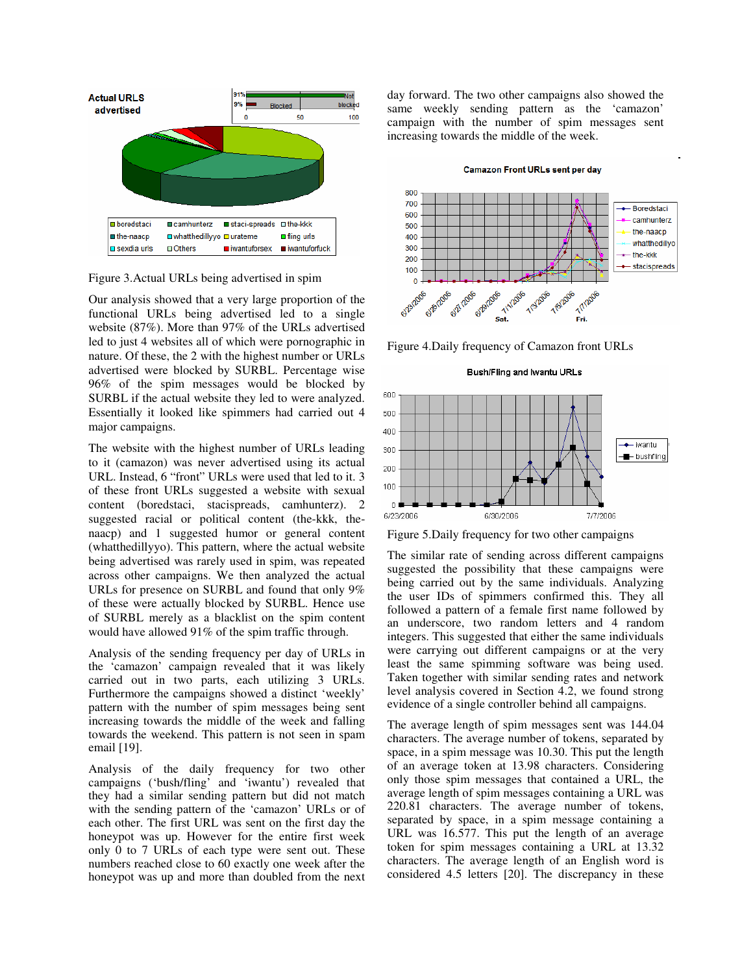

Figure 3.Actual URLs being advertised in spim

Our analysis showed that a very large proportion of the functional URLs being advertised led to a single website (87%). More than 97% of the URLs advertised led to just 4 websites all of which were pornographic in nature. Of these, the 2 with the highest number or URLs advertised were blocked by SURBL. Percentage wise 96% of the spim messages would be blocked by SURBL if the actual website they led to were analyzed. Essentially it looked like spimmers had carried out 4 major campaigns.

The website with the highest number of URLs leading to it (camazon) was never advertised using its actual URL. Instead, 6 "front" URLs were used that led to it. 3 of these front URLs suggested a website with sexual content (boredstaci, stacispreads, camhunterz). 2 suggested racial or political content (the-kkk, thenaacp) and 1 suggested humor or general content (whatthedillyyo). This pattern, where the actual website being advertised was rarely used in spim, was repeated across other campaigns. We then analyzed the actual URLs for presence on SURBL and found that only 9% of these were actually blocked by SURBL. Hence use of SURBL merely as a blacklist on the spim content would have allowed 91% of the spim traffic through.

Analysis of the sending frequency per day of URLs in the 'camazon' campaign revealed that it was likely carried out in two parts, each utilizing 3 URLs. Furthermore the campaigns showed a distinct 'weekly' pattern with the number of spim messages being sent increasing towards the middle of the week and falling towards the weekend. This pattern is not seen in spam email [19].

Analysis of the daily frequency for two other campaigns ('bush/fling' and 'iwantu') revealed that they had a similar sending pattern but did not match with the sending pattern of the 'camazon' URLs or of each other. The first URL was sent on the first day the honeypot was up. However for the entire first week only 0 to 7 URLs of each type were sent out. These numbers reached close to 60 exactly one week after the honeypot was up and more than doubled from the next

day forward. The two other campaigns also showed the same weekly sending pattern as the 'camazon' campaign with the number of spim messages sent increasing towards the middle of the week.

#### **Camazon Front URLs sent per day**



Figure 4.Daily frequency of Camazon front URLs





Figure 5.Daily frequency for two other campaigns

The similar rate of sending across different campaigns suggested the possibility that these campaigns were being carried out by the same individuals. Analyzing the user IDs of spimmers confirmed this. They all followed a pattern of a female first name followed by an underscore, two random letters and 4 random integers. This suggested that either the same individuals were carrying out different campaigns or at the very least the same spimming software was being used. Taken together with similar sending rates and network level analysis covered in Section 4.2, we found strong evidence of a single controller behind all campaigns.

The average length of spim messages sent was 144.04 characters. The average number of tokens, separated by space, in a spim message was 10.30. This put the length of an average token at 13.98 characters. Considering only those spim messages that contained a URL, the average length of spim messages containing a URL was 220.81 characters. The average number of tokens, separated by space, in a spim message containing a URL was 16.577. This put the length of an average token for spim messages containing a URL at 13.32 characters. The average length of an English word is considered 4.5 letters [20]. The discrepancy in these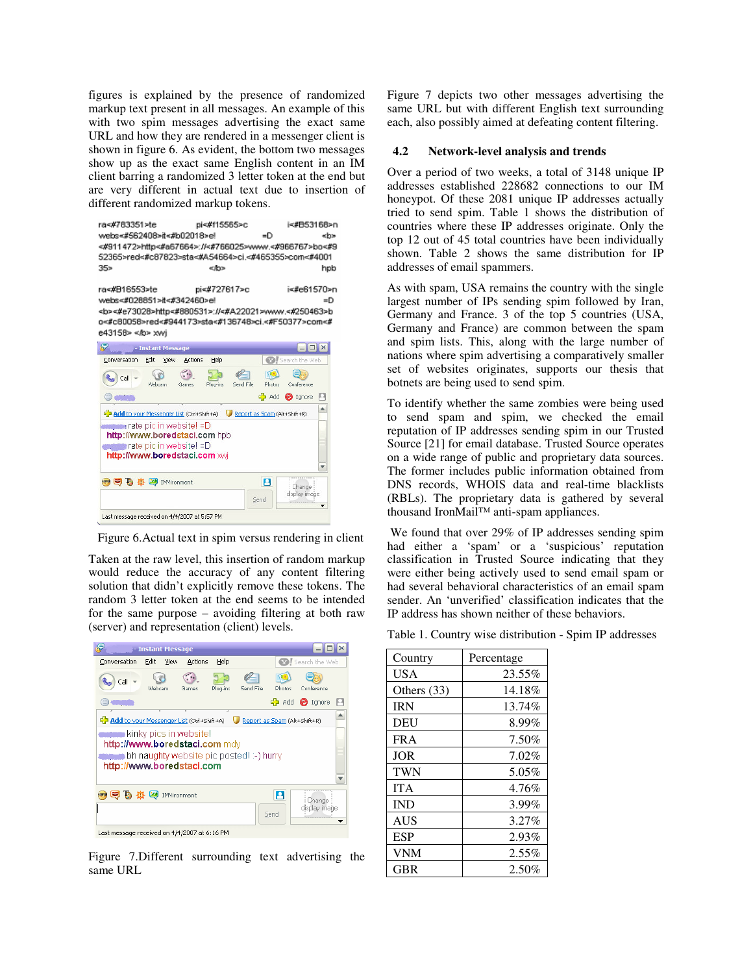figures is explained by the presence of randomized markup text present in all messages. An example of this with two spim messages advertising the exact same URL and how they are rendered in a messenger client is shown in figure 6. As evident, the bottom two messages show up as the exact same English content in an IM client barring a randomized 3 letter token at the end but are very different in actual text due to insertion of different randomized markup tokens.

| ra<#783351>te<br>webs<#562408>it<#b02018>el<br><#911472>http<#a67664>://<#766025>www.<#966767>bo<#9<br>52365>red<#c87823>sta<#A54664>ci.<#465355>com<#4001                                                                            | pi<#f15565>c | =D | i<#B53168>n<br>⊲b>   |
|---------------------------------------------------------------------------------------------------------------------------------------------------------------------------------------------------------------------------------------|--------------|----|----------------------|
| 35 <sub>2</sub>                                                                                                                                                                                                                       | ≪lb>         |    | hpb                  |
| ra<#816553>te<br>webs<#028851>it<#342460>e!<br><b>&lt;#e73028&gt;http&lt;#880531&gt;://&lt;#A22021&gt;www.&lt;#250463&gt;b<br/>0&lt;#c80058&gt;red&lt;#944173&gt;sta&lt;#136748&gt;ci.&lt;#F50377&gt;com&lt;#<br/>e43158&gt; </b> xwi | pi<#727617>c |    | i<#e61570>n<br>$=$ D |



Figure 6.Actual text in spim versus rendering in client

Taken at the raw level, this insertion of random markup would reduce the accuracy of any content filtering solution that didn't explicitly remove these tokens. The random 3 letter token at the end seems to be intended for the same purpose – avoiding filtering at both raw (server) and representation (client) levels.



Figure 7.Different surrounding text advertising the same URL

Figure 7 depicts two other messages advertising the same URL but with different English text surrounding each, also possibly aimed at defeating content filtering.

### **4.2 Network-level analysis and trends**

Over a period of two weeks, a total of 3148 unique IP addresses established 228682 connections to our IM honeypot. Of these 2081 unique IP addresses actually tried to send spim. Table 1 shows the distribution of countries where these IP addresses originate. Only the top 12 out of 45 total countries have been individually shown. Table 2 shows the same distribution for IP addresses of email spammers.

As with spam, USA remains the country with the single largest number of IPs sending spim followed by Iran, Germany and France. 3 of the top 5 countries (USA, Germany and France) are common between the spam and spim lists. This, along with the large number of nations where spim advertising a comparatively smaller set of websites originates, supports our thesis that botnets are being used to send spim.

To identify whether the same zombies were being used to send spam and spim, we checked the email reputation of IP addresses sending spim in our Trusted Source [21] for email database. Trusted Source operates on a wide range of public and proprietary data sources. The former includes public information obtained from DNS records, WHOIS data and real-time blacklists (RBLs). The proprietary data is gathered by several thousand IronMail™ anti-spam appliances.

 We found that over 29% of IP addresses sending spim had either a 'spam' or a 'suspicious' reputation classification in Trusted Source indicating that they were either being actively used to send email spam or had several behavioral characteristics of an email spam sender. An 'unverified' classification indicates that the IP address has shown neither of these behaviors.

Table 1. Country wise distribution - Spim IP addresses

| Country       | Percentage |
|---------------|------------|
| <b>USA</b>    | 23.55%     |
| Others $(33)$ | 14.18%     |
| <b>IRN</b>    | 13.74%     |
| <b>DEU</b>    | 8.99%      |
| FR A          | 7.50%      |
| <b>JOR</b>    | 7.02%      |
| <b>TWN</b>    | 5.05%      |
| <b>ITA</b>    | 4.76%      |
| <b>IND</b>    | 3.99%      |
| <b>AUS</b>    | 3.27%      |
| <b>ESP</b>    | 2.93%      |
| <b>VNM</b>    | 2.55%      |
| <b>GBR</b>    | 2.50%      |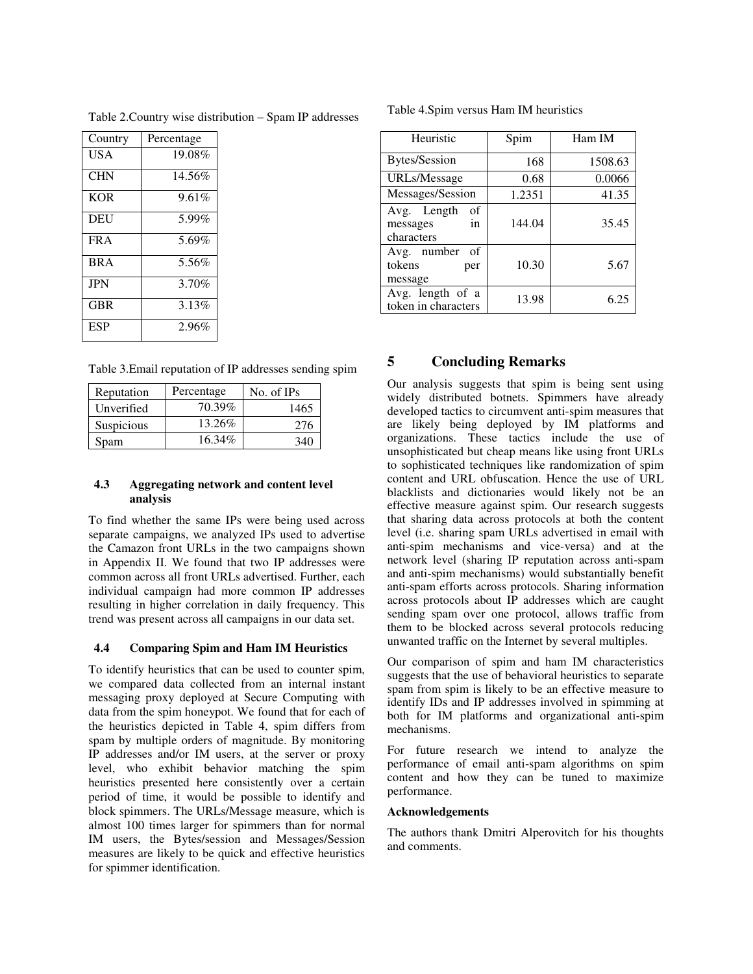Table 2.Country wise distribution – Spam IP addresses

| Country    | Percentage |  |
|------------|------------|--|
| USA        | 19.08%     |  |
| <b>CHN</b> | 14.56%     |  |
| <b>KOR</b> | 9.61%      |  |
| DEU        | 5.99%      |  |
| FR A       | 5.69%      |  |
| <b>BRA</b> | 5.56%      |  |
| <b>JPN</b> | 3.70%      |  |
| GBR        | 3.13%      |  |
| ESP        | 2.96%      |  |

Table 3.Email reputation of IP addresses sending spim

| Reputation | Percentage | No. of IPs |
|------------|------------|------------|
| Unverified | 70.39%     | 1465       |
| Suspicious | 13.26%     | 276        |
| Spam       | 16.34%     | 346        |

### **4.3 Aggregating network and content level analysis**

To find whether the same IPs were being used across separate campaigns, we analyzed IPs used to advertise the Camazon front URLs in the two campaigns shown in Appendix II. We found that two IP addresses were common across all front URLs advertised. Further, each individual campaign had more common IP addresses resulting in higher correlation in daily frequency. This trend was present across all campaigns in our data set.

### **4.4 Comparing Spim and Ham IM Heuristics**

To identify heuristics that can be used to counter spim, we compared data collected from an internal instant messaging proxy deployed at Secure Computing with data from the spim honeypot. We found that for each of the heuristics depicted in Table 4, spim differs from spam by multiple orders of magnitude. By monitoring IP addresses and/or IM users, at the server or proxy level, who exhibit behavior matching the spim heuristics presented here consistently over a certain period of time, it would be possible to identify and block spimmers. The URLs/Message measure, which is almost 100 times larger for spimmers than for normal IM users, the Bytes/session and Messages/Session measures are likely to be quick and effective heuristics for spimmer identification.

| Table 4. Spim versus Ham IM heuristics |  |  |  |  |
|----------------------------------------|--|--|--|--|
|----------------------------------------|--|--|--|--|

| Heuristic                                         | Spim   | Ham IM  |
|---------------------------------------------------|--------|---------|
| <b>Bytes/Session</b>                              | 168    | 1508.63 |
| <b>URLs/Message</b>                               | 0.68   | 0.0066  |
| Messages/Session                                  | 1.2351 | 41.35   |
| Avg. Length<br>οf<br>messages<br>in<br>characters | 144.04 | 35.45   |
| Avg. number<br>οf<br>tokens<br>per<br>message     | 10.30  | 5.67    |
| Avg. length of a<br>token in characters           | 13.98  | 6.25    |

# **5 Concluding Remarks**

Our analysis suggests that spim is being sent using widely distributed botnets. Spimmers have already developed tactics to circumvent anti-spim measures that are likely being deployed by IM platforms and organizations. These tactics include the use of unsophisticated but cheap means like using front URLs to sophisticated techniques like randomization of spim content and URL obfuscation. Hence the use of URL blacklists and dictionaries would likely not be an effective measure against spim. Our research suggests that sharing data across protocols at both the content level (i.e. sharing spam URLs advertised in email with anti-spim mechanisms and vice-versa) and at the network level (sharing IP reputation across anti-spam and anti-spim mechanisms) would substantially benefit anti-spam efforts across protocols. Sharing information across protocols about IP addresses which are caught sending spam over one protocol, allows traffic from them to be blocked across several protocols reducing unwanted traffic on the Internet by several multiples.

Our comparison of spim and ham IM characteristics suggests that the use of behavioral heuristics to separate spam from spim is likely to be an effective measure to identify IDs and IP addresses involved in spimming at both for IM platforms and organizational anti-spim mechanisms.

For future research we intend to analyze the performance of email anti-spam algorithms on spim content and how they can be tuned to maximize performance.

### **Acknowledgements**

The authors thank Dmitri Alperovitch for his thoughts and comments.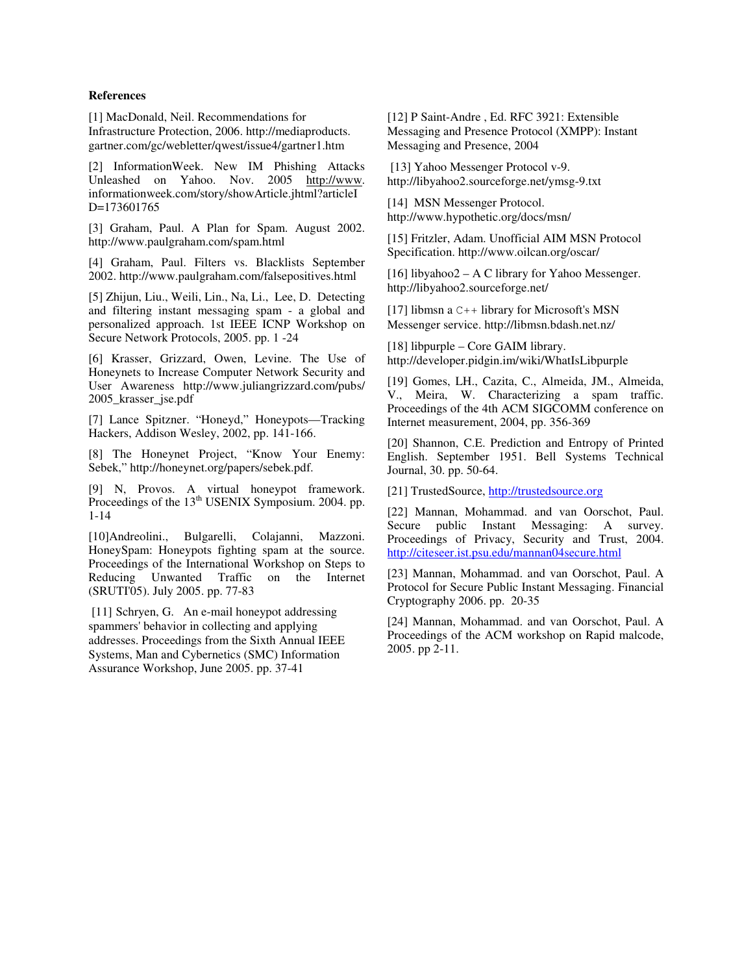### **References**

[1] MacDonald, Neil. Recommendations for Infrastructure Protection, 2006. http://mediaproducts. gartner.com/gc/webletter/qwest/issue4/gartner1.htm

[2] InformationWeek. New IM Phishing Attacks Unleashed on Yahoo. Nov. 2005 http://www. informationweek.com/story/showArticle.jhtml?articleI D=173601765

[3] Graham, Paul. A Plan for Spam. August 2002. http://www.paulgraham.com/spam.html

[4] Graham, Paul. Filters vs. Blacklists September 2002. http://www.paulgraham.com/falsepositives.html

[5] Zhijun, Liu., Weili, Lin., Na, Li., Lee, D. Detecting and filtering instant messaging spam - a global and personalized approach. 1st IEEE ICNP Workshop on Secure Network Protocols, 2005. pp. 1 -24

[6] Krasser, Grizzard, Owen, Levine. The Use of Honeynets to Increase Computer Network Security and User Awareness http://www.juliangrizzard.com/pubs/ 2005\_krasser\_jse.pdf

[7] Lance Spitzner. "Honeyd," Honeypots—Tracking Hackers, Addison Wesley, 2002, pp. 141-166.

[8] The Honeynet Project, "Know Your Enemy: Sebek," http://honeynet.org/papers/sebek.pdf.

[9] N, Provos. A virtual honeypot framework. Proceedings of the 13<sup>th</sup> USENIX Symposium. 2004. pp. 1-14

[10]Andreolini., Bulgarelli, Colajanni, Mazzoni. HoneySpam: Honeypots fighting spam at the source. Proceedings of the International Workshop on Steps to Reducing Unwanted Traffic on the Internet (SRUTI'05). July 2005. pp. 77-83

[11] Schryen, G. An e-mail honeypot addressing spammers' behavior in collecting and applying addresses. Proceedings from the Sixth Annual IEEE Systems, Man and Cybernetics (SMC) Information Assurance Workshop, June 2005. pp. 37-41

[12] P Saint-Andre , Ed. RFC 3921: Extensible Messaging and Presence Protocol (XMPP): Instant Messaging and Presence, 2004

 [13] Yahoo Messenger Protocol v-9. http://libyahoo2.sourceforge.net/ymsg-9.txt

[14] MSN Messenger Protocol. http://www.hypothetic.org/docs/msn/

[15] Fritzler, Adam. Unofficial AIM MSN Protocol Specification. http://www.oilcan.org/oscar/

[16] libyahoo2 – A C library for Yahoo Messenger. http://libyahoo2.sourceforge.net/

[17] libmsn a C++ library for Microsoft's MSN Messenger service. http://libmsn.bdash.net.nz/

[18] libpurple – Core GAIM library. http://developer.pidgin.im/wiki/WhatIsLibpurple

[19] Gomes, LH., Cazita, C., Almeida, JM., Almeida, V., Meira, W. Characterizing a spam traffic. Proceedings of the 4th ACM SIGCOMM conference on Internet measurement, 2004, pp. 356-369

[20] Shannon, C.E. Prediction and Entropy of Printed English. September 1951. Bell Systems Technical Journal, 30. pp. 50-64.

[21] TrustedSource, http://trustedsource.org

[22] Mannan, Mohammad. and van Oorschot, Paul. Secure public Instant Messaging: A survey. Proceedings of Privacy, Security and Trust, 2004. http://citeseer.ist.psu.edu/mannan04secure.html

[23] Mannan, Mohammad. and van Oorschot, Paul. A Protocol for Secure Public Instant Messaging. Financial Cryptography 2006. pp. 20-35

[24] Mannan, Mohammad. and van Oorschot, Paul. A Proceedings of the ACM workshop on Rapid malcode, 2005. pp 2-11.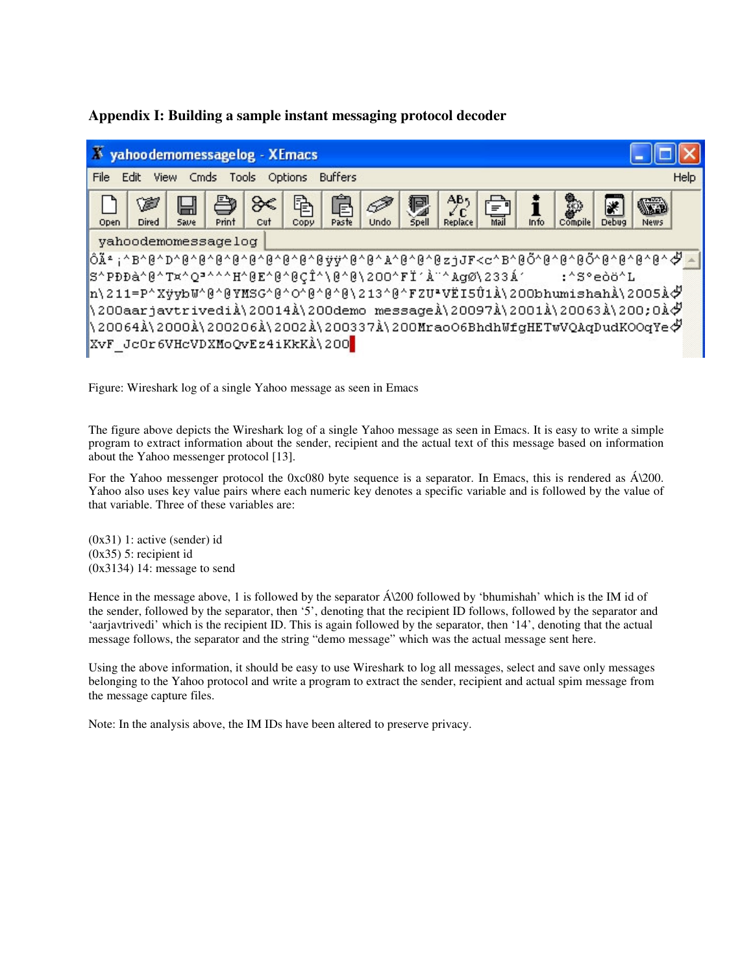# **Appendix I: Building a sample instant messaging protocol decoder**

| Х<br>yahoodemomessagelog - XEmacs                                                                                                                                                                                                                                   |
|---------------------------------------------------------------------------------------------------------------------------------------------------------------------------------------------------------------------------------------------------------------------|
| File<br>View Cmds<br>Help<br>Edit<br>Tools Options<br><b>Buffers</b>                                                                                                                                                                                                |
| AB5<br>昏<br>5<br>P<br>W<br><b>WEB</b><br>╳<br>Ы<br>詸<br>$\equiv$ $^{\circ}$<br>₽<br>Mail<br><b>Spell</b><br>Info<br><b>Dired</b><br>Save<br><b>Compile</b><br>Print<br>Paste<br><b>Replace</b><br>Open<br><b>Undo</b><br><b>Debug</b><br>Cut<br>Copy<br><b>News</b> |
| yahoodemomessagelog                                                                                                                                                                                                                                                 |
| ôê;^B^@^D^@^@^@^@^@^@^@^@^@\$#Y^@^@^A^@^@~@zjJF <c^b^@õ^@^@^@^@^@^@^@^@^< td=""></c^b^@õ^@^@^@^@^@^@^@^@^<>                                                                                                                                                         |
| S^PDDà^@^Tx^Q"^^^H^@E^@^@CÎ^\@^@\2OO^FÏ'À"^AgØ\233Á' :^S°eòö^L                                                                                                                                                                                                      |
| h\211=P^XÿybW^@^@YMSG^@^O^@^@^@\213^@^FZU*VËI5Û1À\200bhumishahÀ\2005À $\ddot{\phi}$                                                                                                                                                                                 |
| $\parallel$ 200aarjavtrivediÀ\20014À\200demo messageÀ\20097À\2001À\20063À\200;0À $\phi$                                                                                                                                                                             |
| $\langle 20064\lambda \rangle$ 2000 $\lambda \rangle$ 200206 $\lambda \rangle$ 2002 $\lambda \rangle$ 200337 $\lambda \rangle$ 200MraoO6BhdhWfgHETwVQAqDudKOOqYe $\mathcal{P}$                                                                                      |
| XvF JcOr6VHcVDXMoQvEz4iKkKÀ\200                                                                                                                                                                                                                                     |

Figure: Wireshark log of a single Yahoo message as seen in Emacs

The figure above depicts the Wireshark log of a single Yahoo message as seen in Emacs. It is easy to write a simple program to extract information about the sender, recipient and the actual text of this message based on information about the Yahoo messenger protocol [13].

For the Yahoo messenger protocol the 0xc080 byte sequence is a separator. In Emacs, this is rendered as  $\hat{A}\langle 200$ . Yahoo also uses key value pairs where each numeric key denotes a specific variable and is followed by the value of that variable. Three of these variables are:

(0x31) 1: active (sender) id (0x35) 5: recipient id (0x3134) 14: message to send

Hence in the message above, 1 is followed by the separator  $\hat{A}\langle 200 \hat{B} \rangle$  followed by 'bhumishah' which is the IM id of the sender, followed by the separator, then '5', denoting that the recipient ID follows, followed by the separator and 'aarjavtrivedi' which is the recipient ID. This is again followed by the separator, then '14', denoting that the actual message follows, the separator and the string "demo message" which was the actual message sent here.

Using the above information, it should be easy to use Wireshark to log all messages, select and save only messages belonging to the Yahoo protocol and write a program to extract the sender, recipient and actual spim message from the message capture files.

Note: In the analysis above, the IM IDs have been altered to preserve privacy.